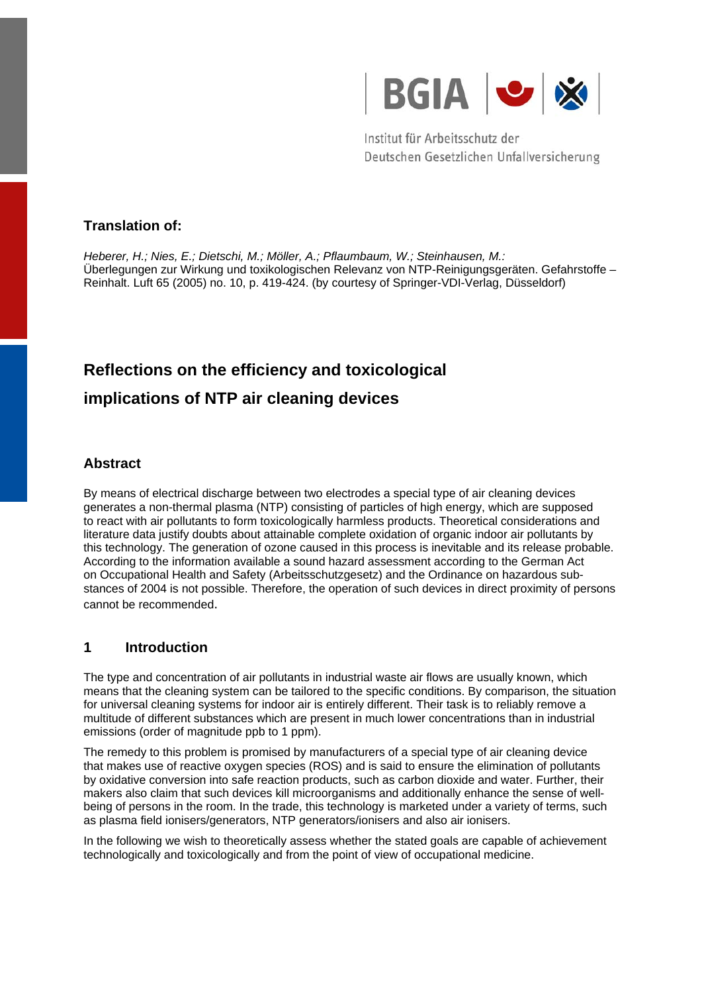

Institut für Arbeitsschutz der Deutschen Gesetzlichen Unfallversicherung

## **Translation of:**

*Heberer, H.; Nies, E.; Dietschi, M.; Möller, A.; Pflaumbaum, W.; Steinhausen, M.:* Überlegungen zur Wirkung und toxikologischen Relevanz von NTP-Reinigungsgeräten. Gefahrstoffe – Reinhalt. Luft 65 (2005) no. 10, p. 419-424. (by courtesy of Springer-VDI-Verlag, Düsseldorf)

# **Reflections on the efficiency and toxicological implications of NTP air cleaning devices**

## **Abstract**

By means of electrical discharge between two electrodes a special type of air cleaning devices generates a non-thermal plasma (NTP) consisting of particles of high energy, which are supposed to react with air pollutants to form toxicologically harmless products. Theoretical considerations and literature data justify doubts about attainable complete oxidation of organic indoor air pollutants by this technology. The generation of ozone caused in this process is inevitable and its release probable. According to the information available a sound hazard assessment according to the German Act on Occupational Health and Safety (Arbeitsschutzgesetz) and the Ordinance on hazardous substances of 2004 is not possible. Therefore, the operation of such devices in direct proximity of persons cannot be recommended.

## **1 Introduction**

The type and concentration of air pollutants in industrial waste air flows are usually known, which means that the cleaning system can be tailored to the specific conditions. By comparison, the situation for universal cleaning systems for indoor air is entirely different. Their task is to reliably remove a multitude of different substances which are present in much lower concentrations than in industrial emissions (order of magnitude ppb to 1 ppm).

The remedy to this problem is promised by manufacturers of a special type of air cleaning device that makes use of reactive oxygen species (ROS) and is said to ensure the elimination of pollutants by oxidative conversion into safe reaction products, such as carbon dioxide and water. Further, their makers also claim that such devices kill microorganisms and additionally enhance the sense of wellbeing of persons in the room. In the trade, this technology is marketed under a variety of terms, such as plasma field ionisers/generators, NTP generators/ionisers and also air ionisers.

In the following we wish to theoretically assess whether the stated goals are capable of achievement technologically and toxicologically and from the point of view of occupational medicine.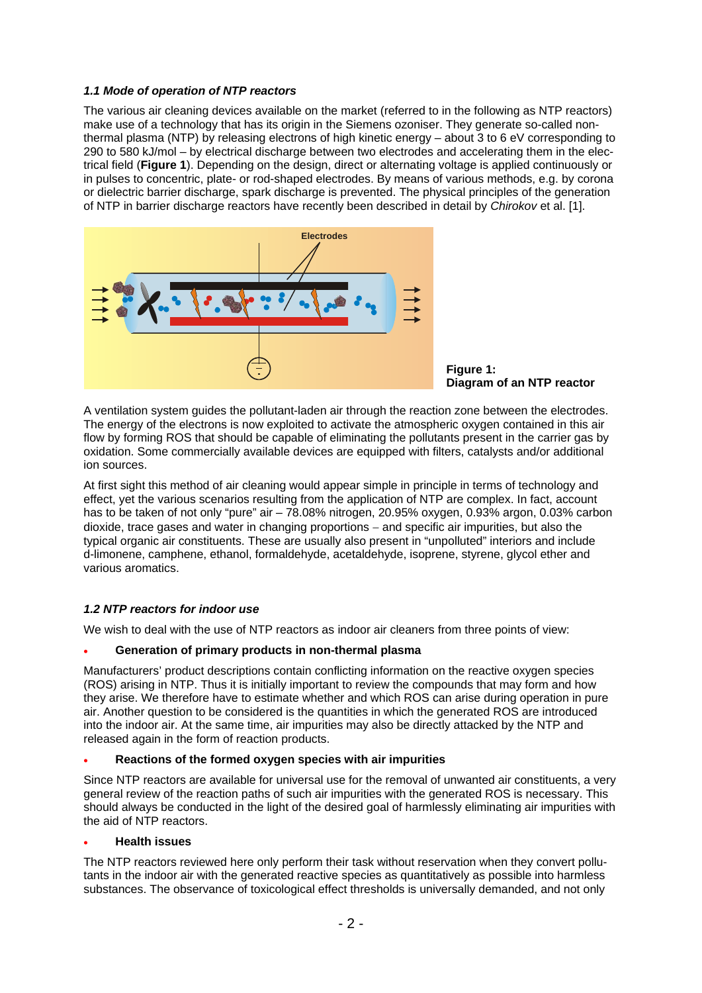#### *1.1 Mode of operation of NTP reactors*

The various air cleaning devices available on the market (referred to in the following as NTP reactors) make use of a technology that has its origin in the Siemens ozoniser. They generate so-called nonthermal plasma (NTP) by releasing electrons of high kinetic energy – about 3 to 6 eV corresponding to 290 to 580 kJ/mol – by electrical discharge between two electrodes and accelerating them in the electrical field (**Figure 1**). Depending on the design, direct or alternating voltage is applied continuously or in pulses to concentric, plate- or rod-shaped electrodes. By means of various methods, e.g. by corona or dielectric barrier discharge, spark discharge is prevented. The physical principles of the generation of NTP in barrier discharge reactors have recently been described in detail by *Chirokov* et al. [1].



**Figure 1: Diagram of an NTP reactor** 

A ventilation system guides the pollutant-laden air through the reaction zone between the electrodes. The energy of the electrons is now exploited to activate the atmospheric oxygen contained in this air flow by forming ROS that should be capable of eliminating the pollutants present in the carrier gas by oxidation. Some commercially available devices are equipped with filters, catalysts and/or additional ion sources.

At first sight this method of air cleaning would appear simple in principle in terms of technology and effect, yet the various scenarios resulting from the application of NTP are complex. In fact, account has to be taken of not only "pure" air – 78.08% nitrogen, 20.95% oxygen, 0.93% argon, 0.03% carbon dioxide, trace gases and water in changing proportions − and specific air impurities, but also the typical organic air constituents. These are usually also present in "unpolluted" interiors and include d-limonene, camphene, ethanol, formaldehyde, acetaldehyde, isoprene, styrene, glycol ether and various aromatics.

#### *1.2 NTP reactors for indoor use*

We wish to deal with the use of NTP reactors as indoor air cleaners from three points of view:

#### • **Generation of primary products in non-thermal plasma**

Manufacturers' product descriptions contain conflicting information on the reactive oxygen species (ROS) arising in NTP. Thus it is initially important to review the compounds that may form and how they arise. We therefore have to estimate whether and which ROS can arise during operation in pure air. Another question to be considered is the quantities in which the generated ROS are introduced into the indoor air. At the same time, air impurities may also be directly attacked by the NTP and released again in the form of reaction products.

#### • **Reactions of the formed oxygen species with air impurities**

Since NTP reactors are available for universal use for the removal of unwanted air constituents, a very general review of the reaction paths of such air impurities with the generated ROS is necessary. This should always be conducted in the light of the desired goal of harmlessly eliminating air impurities with the aid of NTP reactors.

#### • **Health issues**

The NTP reactors reviewed here only perform their task without reservation when they convert pollutants in the indoor air with the generated reactive species as quantitatively as possible into harmless substances. The observance of toxicological effect thresholds is universally demanded, and not only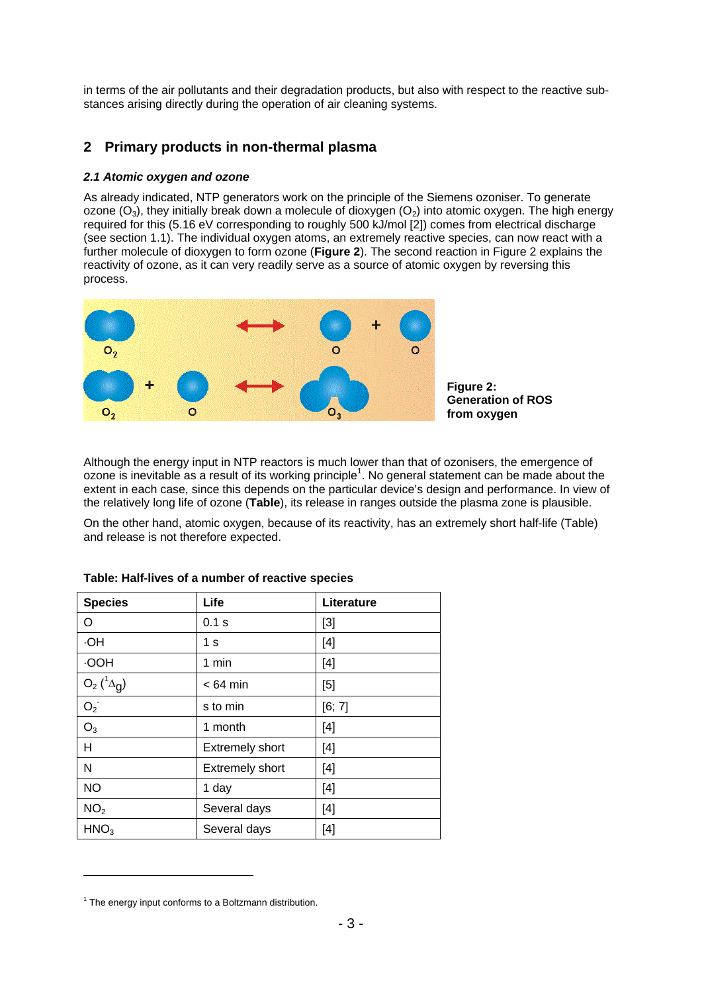in terms of the air pollutants and their degradation products, but also with respect to the reactive substances arising directly during the operation of air cleaning systems.

## **2 Primary products in non-thermal plasma**

#### *2.1 Atomic oxygen and ozone*

As already indicated, NTP generators work on the principle of the Siemens ozoniser. To generate ozone  $(O_3)$ , they initially break down a molecule of dioxygen  $(O_2)$  into atomic oxygen. The high energy required for this (5.16 eV corresponding to roughly 500 kJ/mol [2]) comes from electrical discharge (see section 1.1). The individual oxygen atoms, an extremely reactive species, can now react with a further molecule of dioxygen to form ozone (**Figure 2**). The second reaction in Figure 2 explains the reactivity of ozone, as it can very readily serve as a source of atomic oxygen by reversing this process.



Although the energy input in NTP reactors is much lower than that of ozonisers, the emergence of ozone is inevitable as a result of its working principle<sup>1</sup>. No general statement can be made about the extent in each case, since this depends on the particular device's design and performance. In view of the relatively long life of ozone (**Table**), its release in ranges outside the plasma zone is plausible.

On the other hand, atomic oxygen, because of its reactivity, has an extremely short half-life (Table) and release is not therefore expected.

| <b>Species</b>    | Life            | Literature |
|-------------------|-----------------|------------|
| O                 | 0.1 s           | [3]        |
| HO.               | 1 s             | [4]        |
| <b>HOO</b>        | 1 min           | [4]        |
| $O_2(^1\Delta_g)$ | $< 64$ min      | $[5]$      |
| $O_2^-$           | s to min        | [6; 7]     |
| $O_3$             | 1 month         | [4]        |
| H                 | Extremely short | $[4]$      |
| N                 | Extremely short | [4]        |
| <b>NO</b>         | 1 day           | [4]        |
| NO <sub>2</sub>   | Several days    | [4]        |
| HNO <sub>3</sub>  | Several days    | [4]        |

#### **Table: Half-lives of a number of reactive species**

1

<sup>&</sup>lt;sup>1</sup> The energy input conforms to a Boltzmann distribution.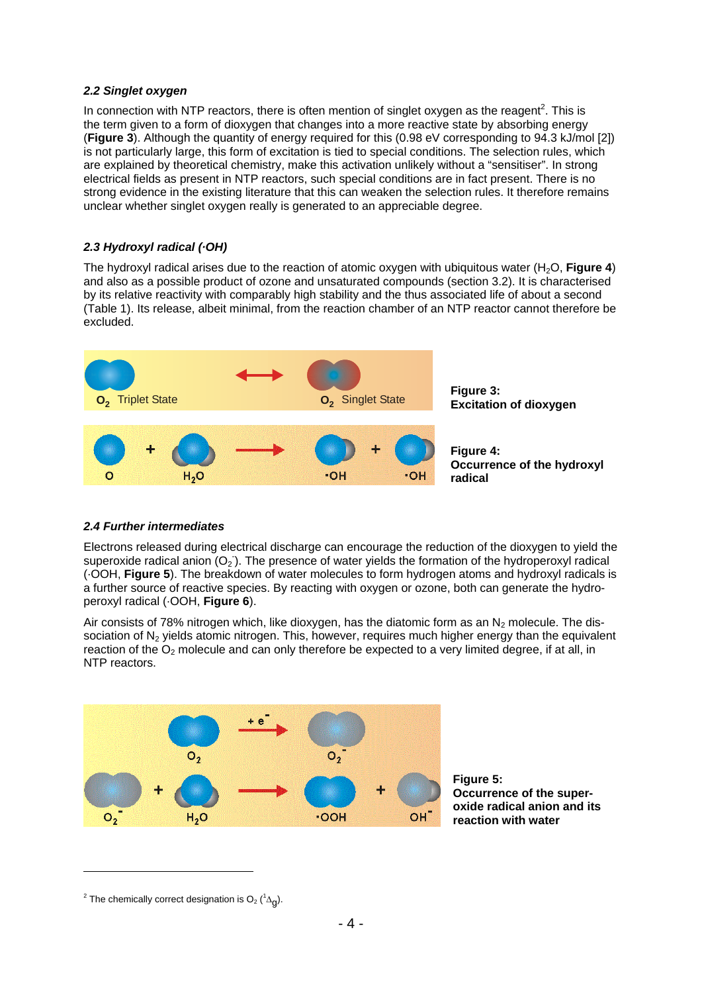#### *2.2 Singlet oxygen*

In connection with NTP reactors, there is often mention of singlet oxygen as the reagent<sup>2</sup>. This is the term given to a form of dioxygen that changes into a more reactive state by absorbing energy (**Figure 3**). Although the quantity of energy required for this (0.98 eV corresponding to 94.3 kJ/mol [2]) is not particularly large, this form of excitation is tied to special conditions. The selection rules, which are explained by theoretical chemistry, make this activation unlikely without a "sensitiser". In strong electrical fields as present in NTP reactors, such special conditions are in fact present. There is no strong evidence in the existing literature that this can weaken the selection rules. It therefore remains unclear whether singlet oxygen really is generated to an appreciable degree.

### *2.3 Hydroxyl radical (·OH)*

The hydroxyl radical arises due to the reaction of atomic oxygen with ubiquitous water (H<sub>2</sub>O, **Figure 4**) and also as a possible product of ozone and unsaturated compounds (section 3.2). It is characterised by its relative reactivity with comparably high stability and the thus associated life of about a second (Table 1). Its release, albeit minimal, from the reaction chamber of an NTP reactor cannot therefore be excluded.



#### *2.4 Further intermediates*

Electrons released during electrical discharge can encourage the reduction of the dioxygen to yield the superoxide radical anion  $(O_2)$ . The presence of water yields the formation of the hydroperoxyl radical (·OOH, **Figure 5**). The breakdown of water molecules to form hydrogen atoms and hydroxyl radicals is a further source of reactive species. By reacting with oxygen or ozone, both can generate the hydroperoxyl radical (·OOH, **Figure 6**).

Air consists of 78% nitrogen which, like dioxygen, has the diatomic form as an  $N_2$  molecule. The dissociation of N<sub>2</sub> yields atomic nitrogen. This, however, requires much higher energy than the equivalent reaction of the  $O_2$  molecule and can only therefore be expected to a very limited degree, if at all, in NTP reactors.





1

<sup>&</sup>lt;sup>2</sup> The chemically correct designation is  $O_2$  ( ${}^1\Delta$ <sub>g</sub>).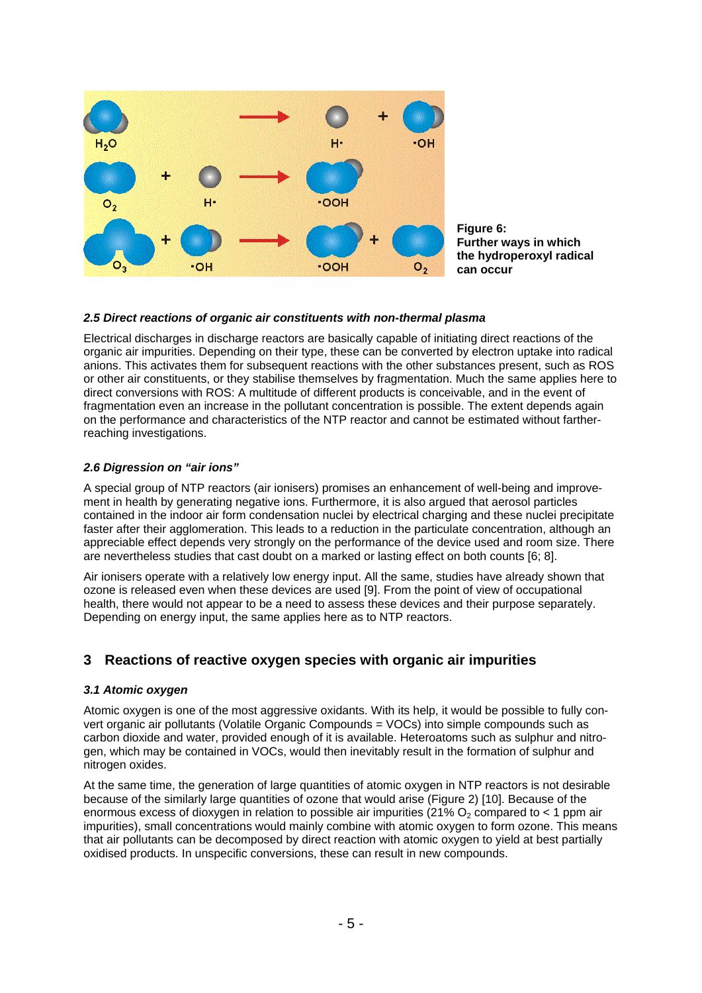

**Figure 6: Further ways in which the hydroperoxyl radical can occur** 

#### *2.5 Direct reactions of organic air constituents with non-thermal plasma*

Electrical discharges in discharge reactors are basically capable of initiating direct reactions of the organic air impurities. Depending on their type, these can be converted by electron uptake into radical anions. This activates them for subsequent reactions with the other substances present, such as ROS or other air constituents, or they stabilise themselves by fragmentation. Much the same applies here to direct conversions with ROS: A multitude of different products is conceivable, and in the event of fragmentation even an increase in the pollutant concentration is possible. The extent depends again on the performance and characteristics of the NTP reactor and cannot be estimated without fartherreaching investigations.

#### *2.6 Digression on "air ions"*

A special group of NTP reactors (air ionisers) promises an enhancement of well-being and improvement in health by generating negative ions. Furthermore, it is also argued that aerosol particles contained in the indoor air form condensation nuclei by electrical charging and these nuclei precipitate faster after their agglomeration. This leads to a reduction in the particulate concentration, although an appreciable effect depends very strongly on the performance of the device used and room size. There are nevertheless studies that cast doubt on a marked or lasting effect on both counts [6; 8].

Air ionisers operate with a relatively low energy input. All the same, studies have already shown that ozone is released even when these devices are used [9]. From the point of view of occupational health, there would not appear to be a need to assess these devices and their purpose separately. Depending on energy input, the same applies here as to NTP reactors.

## **3 Reactions of reactive oxygen species with organic air impurities**

#### *3.1 Atomic oxygen*

Atomic oxygen is one of the most aggressive oxidants. With its help, it would be possible to fully convert organic air pollutants (Volatile Organic Compounds = VOCs) into simple compounds such as carbon dioxide and water, provided enough of it is available. Heteroatoms such as sulphur and nitrogen, which may be contained in VOCs, would then inevitably result in the formation of sulphur and nitrogen oxides.

At the same time, the generation of large quantities of atomic oxygen in NTP reactors is not desirable because of the similarly large quantities of ozone that would arise (Figure 2) [10]. Because of the enormous excess of dioxygen in relation to possible air impurities (21%  $O<sub>2</sub>$  compared to < 1 ppm air impurities), small concentrations would mainly combine with atomic oxygen to form ozone. This means that air pollutants can be decomposed by direct reaction with atomic oxygen to yield at best partially oxidised products. In unspecific conversions, these can result in new compounds.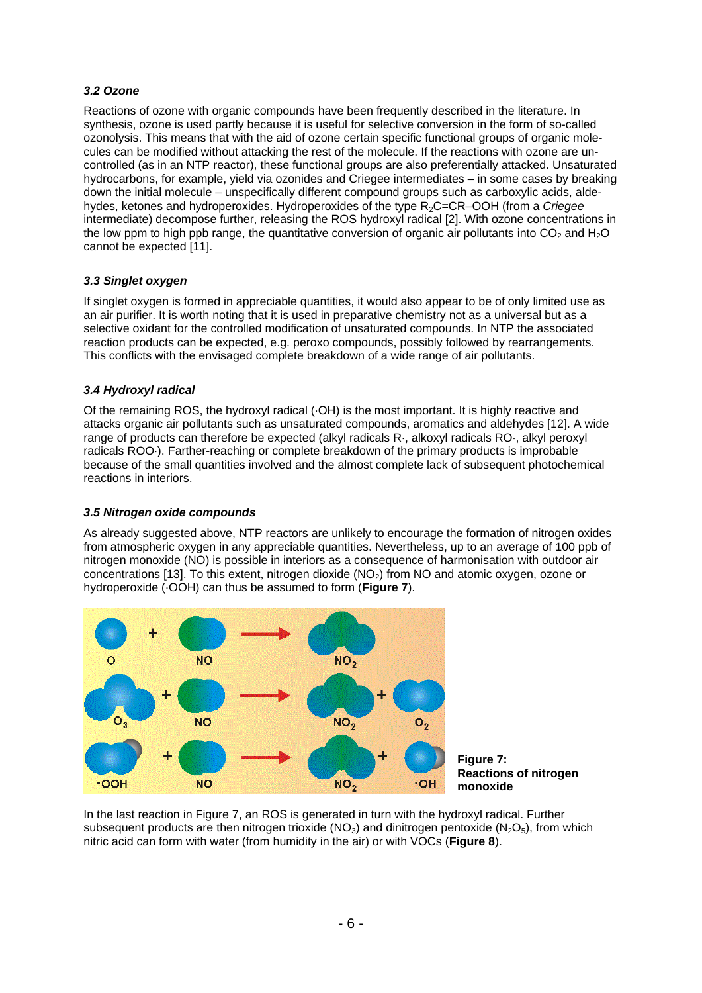### *3.2 Ozone*

Reactions of ozone with organic compounds have been frequently described in the literature. In synthesis, ozone is used partly because it is useful for selective conversion in the form of so-called ozonolysis. This means that with the aid of ozone certain specific functional groups of organic molecules can be modified without attacking the rest of the molecule. If the reactions with ozone are uncontrolled (as in an NTP reactor), these functional groups are also preferentially attacked. Unsaturated hydrocarbons, for example, yield via ozonides and Criegee intermediates – in some cases by breaking down the initial molecule – unspecifically different compound groups such as carboxylic acids, aldehydes, ketones and hydroperoxides. Hydroperoxides of the type R2C=CR–OOH (from a *Criegee* intermediate) decompose further, releasing the ROS hydroxyl radical [2]. With ozone concentrations in the low ppm to high ppb range, the quantitative conversion of organic air pollutants into  $CO<sub>2</sub>$  and H<sub>2</sub>O cannot be expected [11].

#### *3.3 Singlet oxygen*

If singlet oxygen is formed in appreciable quantities, it would also appear to be of only limited use as an air purifier. It is worth noting that it is used in preparative chemistry not as a universal but as a selective oxidant for the controlled modification of unsaturated compounds. In NTP the associated reaction products can be expected, e.g. peroxo compounds, possibly followed by rearrangements. This conflicts with the envisaged complete breakdown of a wide range of air pollutants.

#### *3.4 Hydroxyl radical*

Of the remaining ROS, the hydroxyl radical (·OH) is the most important. It is highly reactive and attacks organic air pollutants such as unsaturated compounds, aromatics and aldehydes [12]. A wide range of products can therefore be expected (alkyl radicals R·, alkoxyl radicals RO·, alkyl peroxyl radicals ROO·). Farther-reaching or complete breakdown of the primary products is improbable because of the small quantities involved and the almost complete lack of subsequent photochemical reactions in interiors.

#### *3.5 Nitrogen oxide compounds*

As already suggested above, NTP reactors are unlikely to encourage the formation of nitrogen oxides from atmospheric oxygen in any appreciable quantities. Nevertheless, up to an average of 100 ppb of nitrogen monoxide (NO) is possible in interiors as a consequence of harmonisation with outdoor air concentrations [13]. To this extent, nitrogen dioxide (NO<sub>2</sub>) from NO and atomic oxygen, ozone or hydroperoxide (·OOH) can thus be assumed to form (**Figure 7**).



In the last reaction in Figure 7, an ROS is generated in turn with the hydroxyl radical. Further subsequent products are then nitrogen trioxide ( $NO<sub>3</sub>$ ) and dinitrogen pentoxide ( $N<sub>2</sub>O<sub>5</sub>$ ), from which

nitric acid can form with water (from humidity in the air) or with VOCs (**Figure 8**).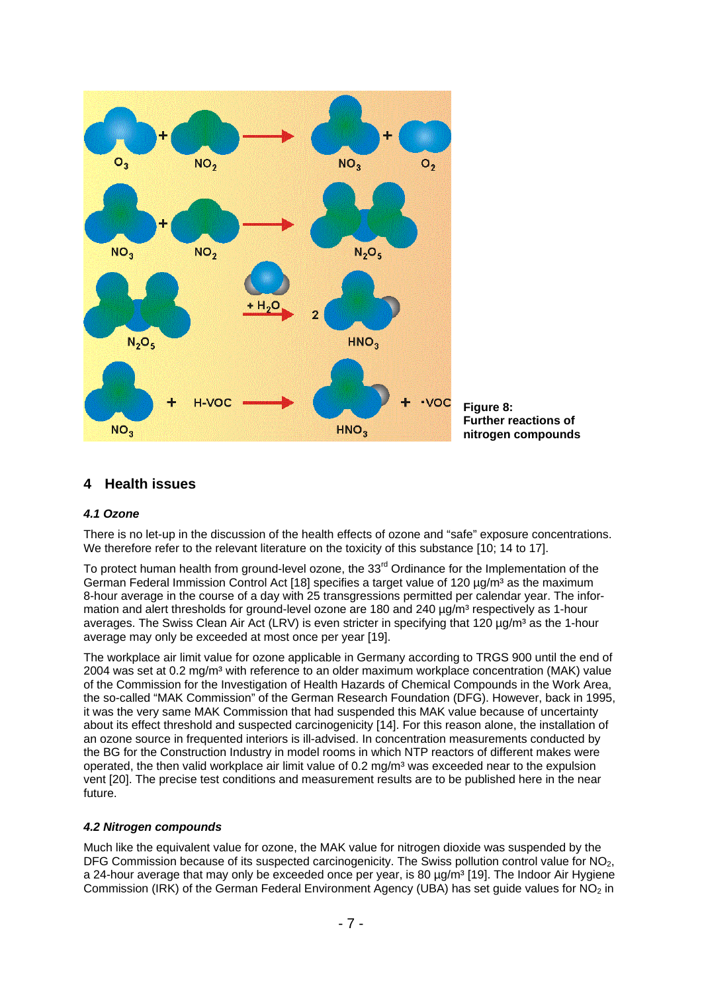

**Figure 8: Further reactions of nitrogen compounds** 

## **4 Health issues**

#### *4.1 Ozone*

There is no let-up in the discussion of the health effects of ozone and "safe" exposure concentrations. We therefore refer to the relevant literature on the toxicity of this substance [10; 14 to 17].

To protect human health from ground-level ozone, the 33<sup>rd</sup> Ordinance for the Implementation of the German Federal Immission Control Act [18] specifies a target value of 120 ug/m<sup>3</sup> as the maximum 8-hour average in the course of a day with 25 transgressions permitted per calendar year. The information and alert thresholds for ground-level ozone are 180 and 240 µg/m<sup>3</sup> respectively as 1-hour averages. The Swiss Clean Air Act (LRV) is even stricter in specifying that 120  $\mu q/m<sup>3</sup>$  as the 1-hour average may only be exceeded at most once per year [19].

The workplace air limit value for ozone applicable in Germany according to TRGS 900 until the end of 2004 was set at 0.2 mg/m³ with reference to an older maximum workplace concentration (MAK) value of the Commission for the Investigation of Health Hazards of Chemical Compounds in the Work Area, the so-called "MAK Commission" of the German Research Foundation (DFG). However, back in 1995, it was the very same MAK Commission that had suspended this MAK value because of uncertainty about its effect threshold and suspected carcinogenicity [14]. For this reason alone, the installation of an ozone source in frequented interiors is ill-advised. In concentration measurements conducted by the BG for the Construction Industry in model rooms in which NTP reactors of different makes were operated, the then valid workplace air limit value of  $0.2$  mg/m<sup>3</sup> was exceeded near to the expulsion vent [20]. The precise test conditions and measurement results are to be published here in the near future.

#### *4.2 Nitrogen compounds*

Much like the equivalent value for ozone, the MAK value for nitrogen dioxide was suspended by the DFG Commission because of its suspected carcinogenicity. The Swiss pollution control value for  $NO<sub>2</sub>$ , a 24-hour average that may only be exceeded once per year, is 80  $\mu q/m^3$  [19]. The Indoor Air Hygiene Commission (IRK) of the German Federal Environment Agency (UBA) has set guide values for  $NO<sub>2</sub>$  in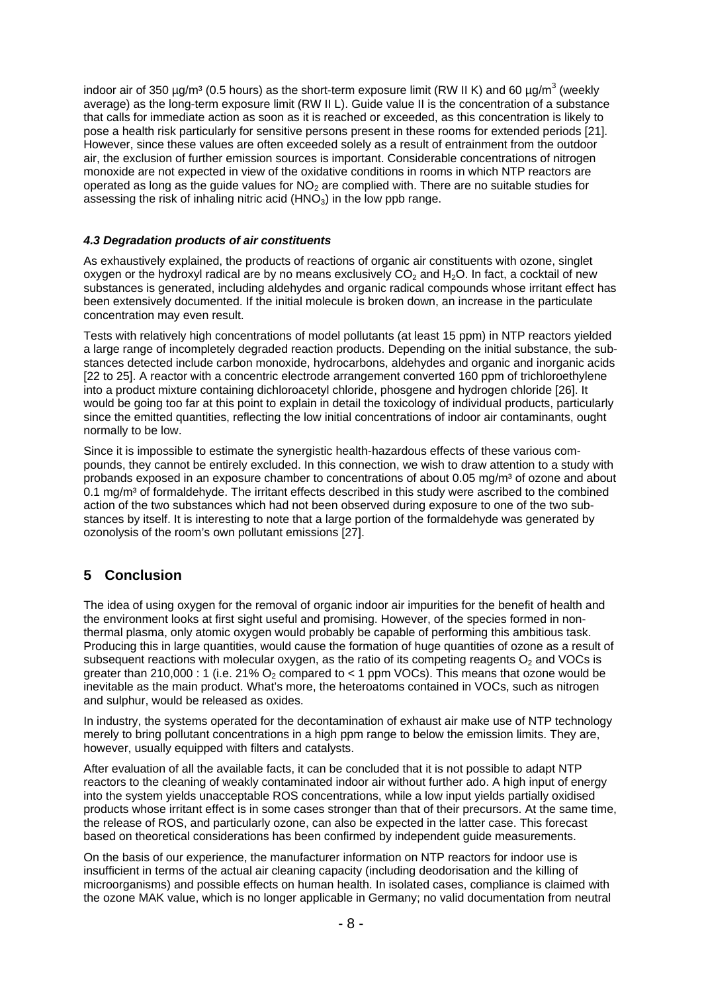indoor air of 350 µg/m<sup>3</sup> (0.5 hours) as the short-term exposure limit (RW II K) and 60 µg/m<sup>3</sup> (weekly average) as the long-term exposure limit (RW II L). Guide value II is the concentration of a substance that calls for immediate action as soon as it is reached or exceeded, as this concentration is likely to pose a health risk particularly for sensitive persons present in these rooms for extended periods [21]. However, since these values are often exceeded solely as a result of entrainment from the outdoor air, the exclusion of further emission sources is important. Considerable concentrations of nitrogen monoxide are not expected in view of the oxidative conditions in rooms in which NTP reactors are operated as long as the quide values for  $NO<sub>2</sub>$  are complied with. There are no suitable studies for assessing the risk of inhaling nitric acid  $(HNO<sub>3</sub>)$  in the low ppb range.

#### *4.3 Degradation products of air constituents*

As exhaustively explained, the products of reactions of organic air constituents with ozone, singlet oxygen or the hydroxyl radical are by no means exclusively  $CO<sub>2</sub>$  and H<sub>2</sub>O. In fact, a cocktail of new substances is generated, including aldehydes and organic radical compounds whose irritant effect has been extensively documented. If the initial molecule is broken down, an increase in the particulate concentration may even result.

Tests with relatively high concentrations of model pollutants (at least 15 ppm) in NTP reactors yielded a large range of incompletely degraded reaction products. Depending on the initial substance, the substances detected include carbon monoxide, hydrocarbons, aldehydes and organic and inorganic acids [22 to 25]. A reactor with a concentric electrode arrangement converted 160 ppm of trichloroethylene into a product mixture containing dichloroacetyl chloride, phosgene and hydrogen chloride [26]. It would be going too far at this point to explain in detail the toxicology of individual products, particularly since the emitted quantities, reflecting the low initial concentrations of indoor air contaminants, ought normally to be low.

Since it is impossible to estimate the synergistic health-hazardous effects of these various compounds, they cannot be entirely excluded. In this connection, we wish to draw attention to a study with probands exposed in an exposure chamber to concentrations of about 0.05 mg/m<sup>3</sup> of ozone and about 0.1 mg/m<sup>3</sup> of formaldehyde. The irritant effects described in this study were ascribed to the combined action of the two substances which had not been observed during exposure to one of the two substances by itself. It is interesting to note that a large portion of the formaldehyde was generated by ozonolysis of the room's own pollutant emissions [27].

## **5 Conclusion**

The idea of using oxygen for the removal of organic indoor air impurities for the benefit of health and the environment looks at first sight useful and promising. However, of the species formed in nonthermal plasma, only atomic oxygen would probably be capable of performing this ambitious task. Producing this in large quantities, would cause the formation of huge quantities of ozone as a result of subsequent reactions with molecular oxygen, as the ratio of its competing reagents  $O<sub>2</sub>$  and VOCs is greater than 210,000 : 1 (i.e. 21%  $O_2$  compared to < 1 ppm VOCs). This means that ozone would be inevitable as the main product. What's more, the heteroatoms contained in VOCs, such as nitrogen and sulphur, would be released as oxides.

In industry, the systems operated for the decontamination of exhaust air make use of NTP technology merely to bring pollutant concentrations in a high ppm range to below the emission limits. They are, however, usually equipped with filters and catalysts.

After evaluation of all the available facts, it can be concluded that it is not possible to adapt NTP reactors to the cleaning of weakly contaminated indoor air without further ado. A high input of energy into the system yields unacceptable ROS concentrations, while a low input yields partially oxidised products whose irritant effect is in some cases stronger than that of their precursors. At the same time, the release of ROS, and particularly ozone, can also be expected in the latter case. This forecast based on theoretical considerations has been confirmed by independent guide measurements.

On the basis of our experience, the manufacturer information on NTP reactors for indoor use is insufficient in terms of the actual air cleaning capacity (including deodorisation and the killing of microorganisms) and possible effects on human health. In isolated cases, compliance is claimed with the ozone MAK value, which is no longer applicable in Germany; no valid documentation from neutral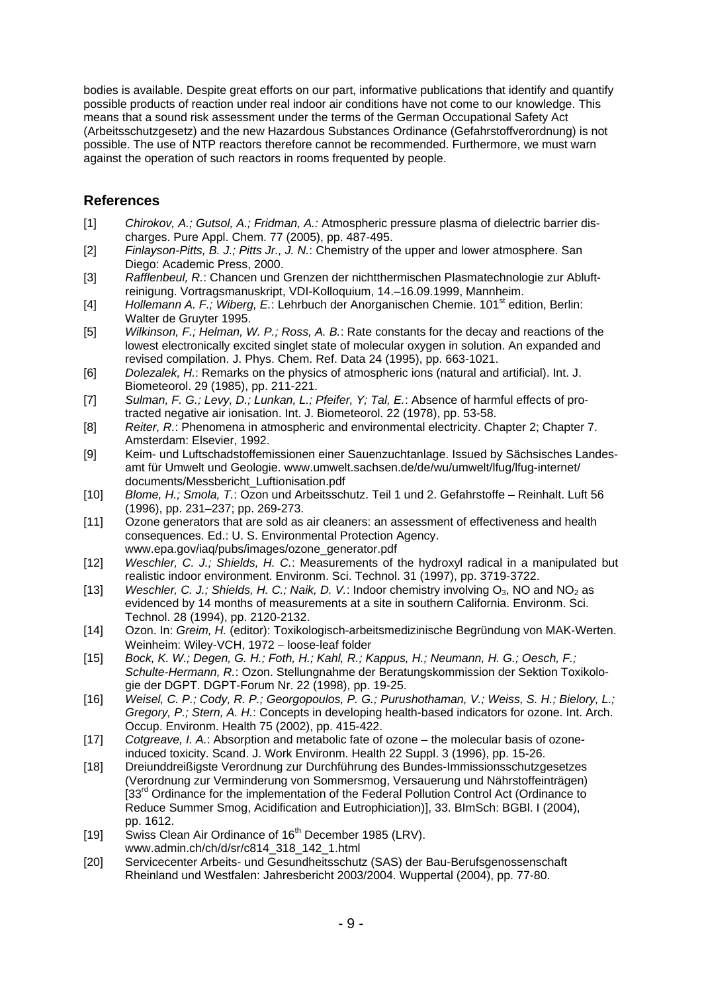bodies is available. Despite great efforts on our part, informative publications that identify and quantify possible products of reaction under real indoor air conditions have not come to our knowledge. This means that a sound risk assessment under the terms of the German Occupational Safety Act (Arbeitsschutzgesetz) and the new Hazardous Substances Ordinance (Gefahrstoffverordnung) is not possible. The use of NTP reactors therefore cannot be recommended. Furthermore, we must warn against the operation of such reactors in rooms frequented by people.

# **References**

- [1] *Chirokov, A.; Gutsol, A.; Fridman, A.:* Atmospheric pressure plasma of dielectric barrier discharges. Pure Appl. Chem. 77 (2005), pp. 487-495.
- [2] *Finlayson-Pitts, B. J.; Pitts Jr., J. N.*: Chemistry of the upper and lower atmosphere. San Diego: Academic Press, 2000.
- [3] *Rafflenbeul, R.*: Chancen und Grenzen der nichtthermischen Plasmatechnologie zur Abluftreinigung. Vortragsmanuskript, VDI-Kolloquium, 14.–16.09.1999, Mannheim.
- [4] *Hollemann A. F.; Wiberg, E.*: Lehrbuch der Anorganischen Chemie. 101<sup>st</sup> edition, Berlin: Walter de Gruyter 1995.
- [5] *Wilkinson, F.; Helman, W. P.; Ross, A. B.*: Rate constants for the decay and reactions of the lowest electronically excited singlet state of molecular oxygen in solution. An expanded and revised compilation. J. Phys. Chem. Ref. Data 24 (1995), pp. 663-1021.
- [6] *Dolezalek, H.*: Remarks on the physics of atmospheric ions (natural and artificial). Int. J. Biometeorol. 29 (1985), pp. 211-221.
- [7] *Sulman, F. G.; Levy, D.; Lunkan, L.; Pfeifer, Y; Tal, E.*: Absence of harmful effects of protracted negative air ionisation. Int. J. Biometeorol. 22 (1978), pp. 53-58.
- [8] *Reiter, R.*: Phenomena in atmospheric and environmental electricity. Chapter 2; Chapter 7. Amsterdam: Elsevier, 1992.
- [9] Keim- und Luftschadstoffemissionen einer Sauenzuchtanlage. Issued by Sächsisches Landesamt für Umwelt und Geologie. www.umwelt.sachsen.de/de/wu/umwelt/lfug/lfug-internet/ documents/Messbericht\_Luftionisation.pdf
- [10] *Blome, H.; Smola, T.*: Ozon und Arbeitsschutz. Teil 1 und 2. Gefahrstoffe Reinhalt. Luft 56 (1996), pp. 231–237; pp. 269-273.
- [11] Ozone generators that are sold as air cleaners: an assessment of effectiveness and health consequences. Ed.: U. S. Environmental Protection Agency. www.epa.gov/iaq/pubs/images/ozone\_generator.pdf
- [12] *Weschler, C. J.; Shields, H. C.*: Measurements of the hydroxyl radical in a manipulated but realistic indoor environment. Environm. Sci. Technol. 31 (1997), pp. 3719-3722.
- [13] *Weschler, C. J.; Shields, H. C.; Naik, D. V.*: Indoor chemistry involving O<sub>3</sub>, NO and NO<sub>2</sub> as evidenced by 14 months of measurements at a site in southern California. Environm. Sci. Technol. 28 (1994), pp. 2120-2132.
- [14] Ozon. In: *Greim, H.* (editor): Toxikologisch-arbeitsmedizinische Begründung von MAK-Werten. Weinheim: Wiley-VCH, 1972 - loose-leaf folder
- [15] *Bock, K. W.; Degen, G. H.; Foth, H.; Kahl, R.; Kappus, H.; Neumann, H. G.; Oesch, F.; Schulte-Hermann, R.*: Ozon. Stellungnahme der Beratungskommission der Sektion Toxikologie der DGPT. DGPT-Forum Nr. 22 (1998), pp. 19-25.
- [16] *Weisel, C. P.; Cody, R. P.; Georgopoulos, P. G.; Purushothaman, V.; Weiss, S. H.; Bielory, L.; Gregory, P.; Stern, A. H.*: Concepts in developing health-based indicators for ozone. Int. Arch. Occup. Environm. Health 75 (2002), pp. 415-422.
- [17] *Cotgreave, I. A.*: Absorption and metabolic fate of ozone the molecular basis of ozoneinduced toxicity. Scand. J. Work Environm. Health 22 Suppl. 3 (1996), pp. 15-26.
- [18] Dreiunddreißigste Verordnung zur Durchführung des Bundes-Immissionsschutzgesetzes (Verordnung zur Verminderung von Sommersmog, Versauerung und Nährstoffeinträgen) [33<sup>rd</sup> Ordinance for the implementation of the Federal Pollution Control Act (Ordinance to Reduce Summer Smog, Acidification and Eutrophiciation)], 33. BImSch: BGBl. I (2004), pp. 1612.
- [19] Swiss Clean Air Ordinance of 16<sup>th</sup> December 1985 (LRV). www.admin.ch/ch/d/sr/c814\_318\_142\_1.html
- [20] Servicecenter Arbeits- und Gesundheitsschutz (SAS) der Bau-Berufsgenossenschaft Rheinland und Westfalen: Jahresbericht 2003/2004. Wuppertal (2004), pp. 77-80.